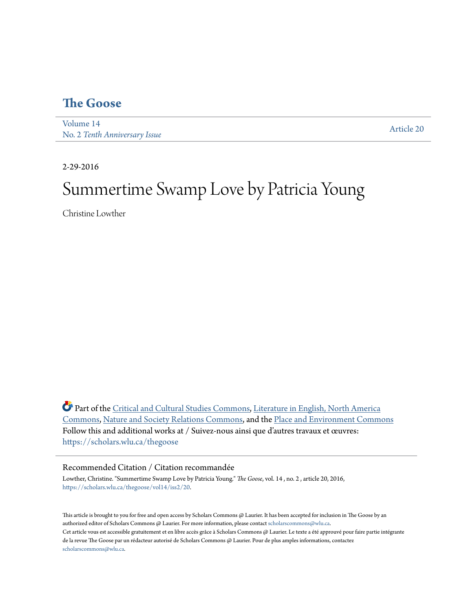## **[The Goose](https://scholars.wlu.ca/thegoose?utm_source=scholars.wlu.ca%2Fthegoose%2Fvol14%2Fiss2%2F20&utm_medium=PDF&utm_campaign=PDFCoverPages)**

[Volume 14](https://scholars.wlu.ca/thegoose/vol14?utm_source=scholars.wlu.ca%2Fthegoose%2Fvol14%2Fiss2%2F20&utm_medium=PDF&utm_campaign=PDFCoverPages) No. 2 *[Tenth Anniversary Issue](https://scholars.wlu.ca/thegoose/vol14/iss2?utm_source=scholars.wlu.ca%2Fthegoose%2Fvol14%2Fiss2%2F20&utm_medium=PDF&utm_campaign=PDFCoverPages)*

[Article 20](https://scholars.wlu.ca/thegoose/vol14/iss2/20?utm_source=scholars.wlu.ca%2Fthegoose%2Fvol14%2Fiss2%2F20&utm_medium=PDF&utm_campaign=PDFCoverPages)

2-29-2016

# Summertime Swamp Love by Patricia Young

Christine Lowther

Part of the [Critical and Cultural Studies Commons](http://network.bepress.com/hgg/discipline/328?utm_source=scholars.wlu.ca%2Fthegoose%2Fvol14%2Fiss2%2F20&utm_medium=PDF&utm_campaign=PDFCoverPages), [Literature in English, North America](http://network.bepress.com/hgg/discipline/458?utm_source=scholars.wlu.ca%2Fthegoose%2Fvol14%2Fiss2%2F20&utm_medium=PDF&utm_campaign=PDFCoverPages) [Commons,](http://network.bepress.com/hgg/discipline/458?utm_source=scholars.wlu.ca%2Fthegoose%2Fvol14%2Fiss2%2F20&utm_medium=PDF&utm_campaign=PDFCoverPages) [Nature and Society Relations Commons](http://network.bepress.com/hgg/discipline/357?utm_source=scholars.wlu.ca%2Fthegoose%2Fvol14%2Fiss2%2F20&utm_medium=PDF&utm_campaign=PDFCoverPages), and the [Place and Environment Commons](http://network.bepress.com/hgg/discipline/424?utm_source=scholars.wlu.ca%2Fthegoose%2Fvol14%2Fiss2%2F20&utm_medium=PDF&utm_campaign=PDFCoverPages) Follow this and additional works at / Suivez-nous ainsi que d'autres travaux et œuvres: [https://scholars.wlu.ca/thegoose](https://scholars.wlu.ca/thegoose?utm_source=scholars.wlu.ca%2Fthegoose%2Fvol14%2Fiss2%2F20&utm_medium=PDF&utm_campaign=PDFCoverPages)

#### Recommended Citation / Citation recommandée

Lowther, Christine. "Summertime Swamp Love by Patricia Young." *The Goose*, vol. 14 , no. 2 , article 20, 2016, [https://scholars.wlu.ca/thegoose/vol14/iss2/20.](https://scholars.wlu.ca/thegoose/vol14/iss2/20?utm_source=scholars.wlu.ca%2Fthegoose%2Fvol14%2Fiss2%2F20&utm_medium=PDF&utm_campaign=PDFCoverPages)

This article is brought to you for free and open access by Scholars Commons @ Laurier. It has been accepted for inclusion in The Goose by an authorized editor of Scholars Commons @ Laurier. For more information, please contact [scholarscommons@wlu.ca.](mailto:scholarscommons@wlu.ca) Cet article vous est accessible gratuitement et en libre accès grâce à Scholars Commons @ Laurier. Le texte a été approuvé pour faire partie intégrante de la revue The Goose par un rédacteur autorisé de Scholars Commons @ Laurier. Pour de plus amples informations, contactez [scholarscommons@wlu.ca.](mailto:scholarscommons@wlu.ca)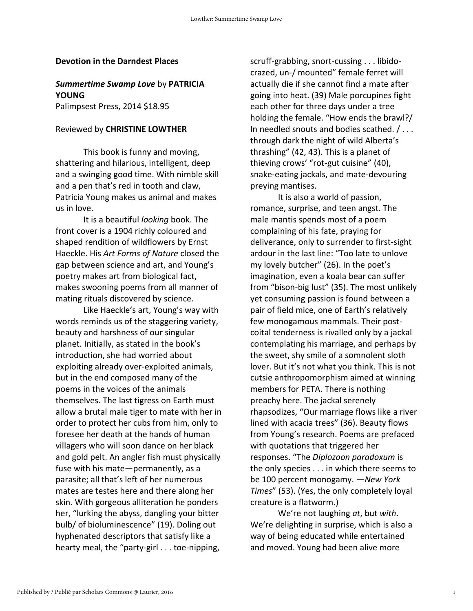#### **Devotion in the Darndest Places**

### *Summertime Swamp Love* by **PATRICIA YOUNG**

Palimpsest Press, 2014 \$18.95

#### Reviewed by **CHRISTINE LOWTHER**

This book is funny and moving, shattering and hilarious, intelligent, deep and a swinging good time. With nimble skill and a pen that's red in tooth and claw, Patricia Young makes us animal and makes us in love.

It is a beautiful *looking* book. The front cover is a 1904 richly coloured and shaped rendition of wildflowers by Ernst Haeckle. His *Art Forms of Nature* closed the gap between science and art, and Young's poetry makes art from biological fact, makes swooning poems from all manner of mating rituals discovered by science.

Like Haeckle's art, Young's way with words reminds us of the staggering variety, beauty and harshness of our singular planet. Initially, as stated in the book's introduction, she had worried about exploiting already over-exploited animals, but in the end composed many of the poems in the voices of the animals themselves. The last tigress on Earth must allow a brutal male tiger to mate with her in order to protect her cubs from him, only to foresee her death at the hands of human villagers who will soon dance on her black and gold pelt. An angler fish must physically fuse with his mate—permanently, as a parasite; all that's left of her numerous mates are testes here and there along her skin. With gorgeous alliteration he ponders her, "lurking the abyss, dangling your bitter bulb/ of bioluminescence" (19). Doling out hyphenated descriptors that satisfy like a hearty meal, the "party-girl . . . toe-nipping,

scruff-grabbing, snort-cussing . . . libidocrazed, un-/ mounted" female ferret will actually die if she cannot find a mate after going into heat. (39) Male porcupines fight each other for three days under a tree holding the female. "How ends the brawl?/ In needled snouts and bodies scathed. / . . . through dark the night of wild Alberta's thrashing" (42, 43). This is a planet of thieving crows' "rot-gut cuisine" (40), snake-eating jackals, and mate-devouring preying mantises.

It is also a world of passion, romance, surprise, and teen angst. The male mantis spends most of a poem complaining of his fate, praying for deliverance, only to surrender to first-sight ardour in the last line: "Too late to unlove my lovely butcher" (26). In the poet's imagination, even a koala bear can suffer from "bison-big lust" (35). The most unlikely yet consuming passion is found between a pair of field mice, one of Earth's relatively few monogamous mammals. Their postcoital tenderness is rivalled only by a jackal contemplating his marriage, and perhaps by the sweet, shy smile of a somnolent sloth lover. But it's not what you think. This is not cutsie anthropomorphism aimed at winning members for PETA. There is nothing preachy here. The jackal serenely rhapsodizes, "Our marriage flows like a river lined with acacia trees" (36). Beauty flows from Young's research. Poems are prefaced with quotations that triggered her responses. "The *Diplozoon paradoxum* is the only species . . . in which there seems to be 100 percent monogamy. —*New York Times*" (53). (Yes, the only completely loyal creature is a flatworm.)

We're not laughing *at*, but *with*. We're delighting in surprise, which is also a way of being educated while entertained and moved. Young had been alive more